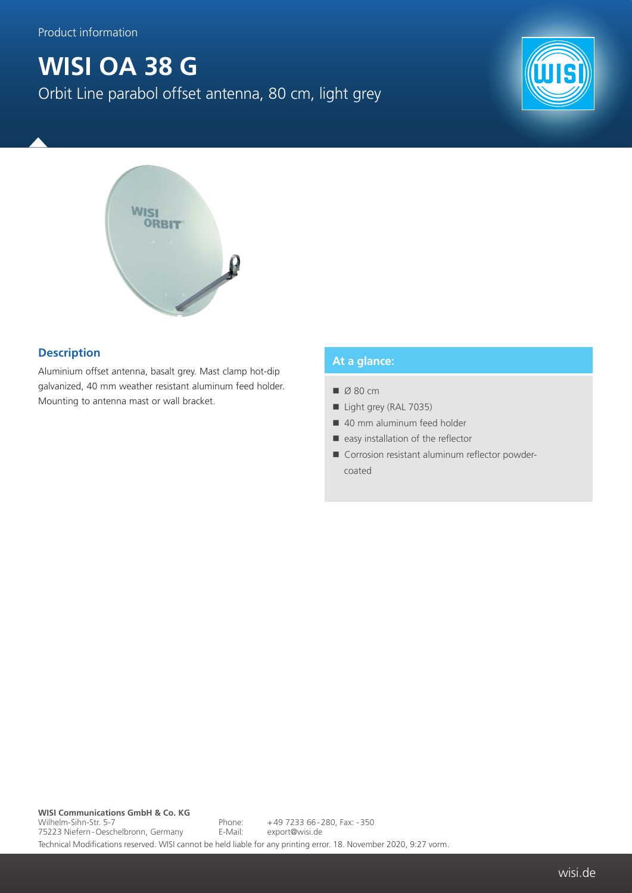## **WISI OA 38 G** Orbit Line parabol offset antenna, 80 cm, light grey





## **Description**

Aluminium offset antenna, basalt grey. Mast clamp hot-dip galvanized, 40 mm weather resistant aluminum feed holder. Mounting to antenna mast or wall bracket.

## **At a glance:**

- $\Box$  Ø 80 cm
- Light grey (RAL 7035)
- 40 mm aluminum feed holder
- $\blacksquare$  easy installation of the reflector
- Corrosion resistant aluminum reflector powdercoated